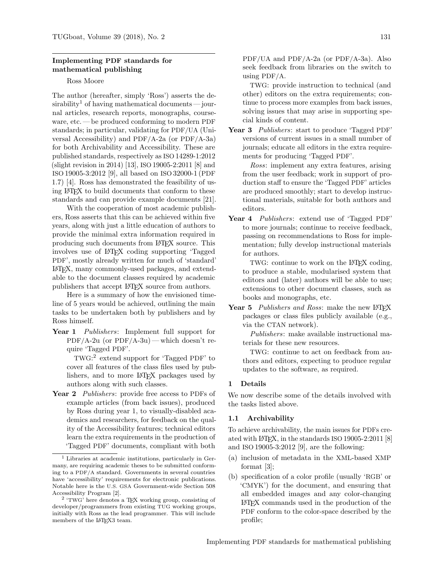# Implementing PDF standards for mathematical publishing

## Ross Moore

The author (hereafter, simply 'Ross') asserts the de-sirability<sup>[1](#page-0-0)</sup> of having mathematical documents — journal articles, research reports, monographs, courseware, etc. — be produced conforming to modern PDF standards; in particular, validating for PDF/UA (Universal Accessibility) and PDF/A-2a (or PDF/A-3a) for both Archivability and Accessibility. These are published standards, respectively as ISO 14289-1:2012 (slight revision in 2014) [\[13\]](#page-4-0), ISO 19005-2:2011 [\[8\]](#page-4-1) and ISO 19005-3:2012 [\[9\]](#page-4-2), all based on ISO 32000-1 (PDF 1.7) [\[4\]](#page-4-3). Ross has demonstrated the feasibility of using LATEX to build documents that conform to these standards and can provide example documents [\[21\]](#page-4-4).

With the cooperation of most academic publishers, Ross asserts that this can be achieved within five years, along with just a little education of authors to provide the minimal extra information required in producing such documents from LATEX source. This involves use of LATEX coding supporting 'Tagged PDF', mostly already written for much of 'standard' LATEX, many commonly-used packages, and extendable to the document classes required by academic publishers that accept LATEX source from authors.

Here is a summary of how the envisioned timeline of 5 years would be achieved, outlining the main tasks to be undertaken both by publishers and by Ross himself.

Year 1 Publishers: Implement full support for  $PDF/A-2u$  (or  $PDF/A-3u$ ) — which doesn't require 'Tagged PDF'.

TWG: [2](#page-0-1) extend support for 'Tagged PDF' to cover all features of the class files used by publishers, and to more LATEX packages used by authors along with such classes.

Year 2 *Publishers*: provide free access to PDFs of example articles (from back issues), produced by Ross during year 1, to visually-disabled academics and researchers, for feedback on the quality of the Accessibility features; technical editors learn the extra requirements in the production of 'Tagged PDF' documents, compliant with both

PDF/UA and PDF/A-2a (or PDF/A-3a). Also seek feedback from libraries on the switch to using PDF/A.

TWG: provide instruction to technical (and other) editors on the extra requirements; continue to process more examples from back issues, solving issues that may arise in supporting special kinds of content.

Year 3 Publishers: start to produce 'Tagged PDF' versions of current issues in a small number of journals; educate all editors in the extra requirements for producing 'Tagged PDF'.

Ross: implement any extra features, arising from the user feedback; work in support of production staff to ensure the 'Tagged PDF' articles are produced smoothly; start to develop instructional materials, suitable for both authors and editors.

Year 4 Publishers: extend use of 'Tagged PDF' to more journals; continue to receive feedback, passing on recommendations to Ross for implementation; fully develop instructional materials for authors.

TWG: continue to work on the L<sup>AT</sup>FX coding, to produce a stable, modularised system that editors and (later) authors will be able to use; extensions to other document classes, such as books and monographs, etc.

Year 5 Publishers and Ross: make the new L<sup>AT</sup>FX packages or class files publicly available (e.g., via the CTAN network).

Publishers: make available instructional materials for these new resources.

TWG: continue to act on feedback from authors and editors, expecting to produce regular updates to the software, as required.

#### 1 Details

We now describe some of the details involved with the tasks listed above.

## 1.1 Archivability

To achieve archivability, the main issues for PDFs created with  $\angle$ FFX, in the standards ISO 19005-2:2011 [\[8\]](#page-4-1) and ISO 19005-3:2012 [\[9\]](#page-4-2), are the following:

- (a) inclusion of metadata in the XML-based XMP format [\[3\]](#page-3-1);
- (b) specification of a color profile (usually 'RGB' or 'CMYK') for the document, and ensuring that all embedded images and any color-changing LATEX commands used in the production of the PDF conform to the color-space described by the profile;

<span id="page-0-0"></span><sup>1</sup> Libraries at academic institutions, particularly in Germany, are requiring academic theses to be submitted conforming to a PDF/A standard. Governments in several countries have 'accessibility' requirements for electronic publications. Notable here is the U.S. GSA Government-wide Section 508 Accessibility Program [\[2\]](#page-3-0).

<span id="page-0-1"></span><sup>2</sup> 'TWG' here denotes a TEX working group, consisting of developer/programmers from existing TUG working groups, initially with Ross as the lead programmer. This will include members of the LATFX3 team.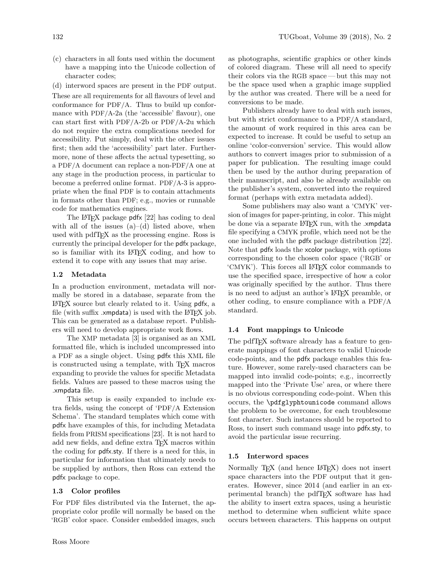- (c) characters in all fonts used within the document have a mapping into the Unicode collection of character codes;
- (d) interword spaces are present in the PDF output.

These are all requirements for all flavours of level and conformance for PDF/A. Thus to build up conformance with PDF/A-2a (the 'accessible' flavour), one can start first with PDF/A-2b or PDF/A-2u which do not require the extra complications needed for accessibility. Put simply, deal with the other issues first; then add the 'accessibility' part later. Furthermore, none of these affects the actual typesetting, so a PDF/A document can replace a non-PDF/A one at any stage in the production process, in particular to become a preferred online format. PDF/A-3 is appropriate when the final PDF is to contain attachments in formats other than PDF; e.g., movies or runnable code for mathematics engines.

The L<sup>AT</sup>EX package pdfx [\[22\]](#page-4-5) has coding to deal with all of the issues  $(a)$ – $(d)$  listed above, when used with pdfTEX as the processing engine. Ross is currently the principal developer for the pdfx package, so is familiar with its LATEX coding, and how to extend it to cope with any issues that may arise.

#### 1.2 Metadata

In a production environment, metadata will normally be stored in a database, separate from the LATEX source but clearly related to it. Using pdfx, a file (with suffix  $x$  *xmpdata*) is used with the  $\text{LATEX}$  job. This can be generated as a database report. Publishers will need to develop appropriate work flows.

The XMP metadata [\[3\]](#page-3-1) is organised as an XML formatted file, which is included uncompressed into a PDF as a single object. Using pdfx this XML file is constructed using a template, with TEX macros expanding to provide the values for specific Metadata fields. Values are passed to these macros using the .xmpdata file.

This setup is easily expanded to include extra fields, using the concept of 'PDF/A Extension Schema'. The standard templates which come with pdfx have examples of this, for including Metadata fields from PRISM specifications [\[23\]](#page-4-6). It is not hard to add new fields, and define extra T<sub>E</sub>X macros within the coding for pdfx.sty. If there is a need for this, in particular for information that ultimately needs to be supplied by authors, then Ross can extend the pdfx package to cope.

## 1.3 Color profiles

For PDF files distributed via the Internet, the appropriate color profile will normally be based on the 'RGB' color space. Consider embedded images, such

as photographs, scientific graphics or other kinds of colored diagram. These will all need to specify their colors via the RGB space— but this may not be the space used when a graphic image supplied by the author was created. There will be a need for conversions to be made.

Publishers already have to deal with such issues, but with strict conformance to a PDF/A standard, the amount of work required in this area can be expected to increase. It could be useful to setup an online 'color-conversion' service. This would allow authors to convert images prior to submission of a paper for publication. The resulting image could then be used by the author during preparation of their manuscript, and also be already available on the publisher's system, converted into the required format (perhaps with extra metadata added).

Some publishers may also want a 'CMYK' version of images for paper-printing, in color. This might be done via a separate L<sup>AT</sup>EX run, with the .xmpdata file specifying a CMYK profile, which need not be the one included with the pdfx package distribution [\[22\]](#page-4-5). Note that pdfx loads the xcolor package, with options corresponding to the chosen color space ('RGB' or 'CMYK'). This forces all LATEX color commands to use the specified space, irrespective of how a color was originally specified by the author. Thus there is no need to adjust an author's LATEX preamble, or other coding, to ensure compliance with a PDF/A standard.

## 1.4 Font mappings to Unicode

The pdfT<sub>F</sub>X software already has a feature to generate mappings of font characters to valid Unicode code-points, and the pdfx package enables this feature. However, some rarely-used characters can be mapped into invalid code-points; e.g., incorrectly mapped into the 'Private Use' area, or where there is no obvious corresponding code-point. When this occurs, the \pdfglyphtounicode command allows the problem to be overcome, for each troublesome font character. Such instances should be reported to Ross, to insert such command usage into pdfx.sty, to avoid the particular issue recurring.

## 1.5 Interword spaces

Normally TEX (and hence LATEX) does not insert space characters into the PDF output that it generates. However, since 2014 (and earlier in an experimental branch) the pdfTEX software has had the ability to insert extra spaces, using a heuristic method to determine when sufficient white space occurs between characters. This happens on output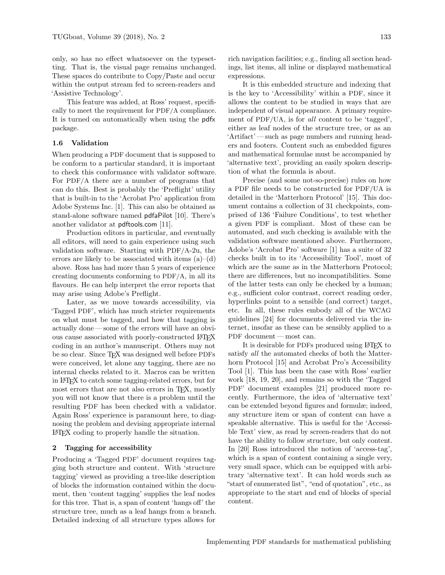only, so has no effect whatsoever on the typesetting. That is, the visual page remains unchanged. These spaces do contribute to Copy/Paste and occur within the output stream fed to screen-readers and 'Assistive Technology'.

This feature was added, at Ross' request, specifically to meet the requirement for PDF/A compliance. It is turned on automatically when using the pdfx package.

## 1.6 Validation

When producing a PDF document that is supposed to be conform to a particular standard, it is important to check this conformance with validator software. For PDF/A there are a number of programs that can do this. Best is probably the 'Preflight' utility that is built-in to the 'Acrobat Pro' application from Adobe Systems Inc. [\[1\]](#page-3-2). This can also be obtained as stand-alone software named pdfaPilot [\[10\]](#page-4-7). There's another validator at pdftools.com [\[11\]](#page-4-8).

Production editors in particular, and eventually all editors, will need to gain experience using such validation software. Starting with PDF/A-2u, the errors are likely to be associated with items  $(a)$ – $(d)$ above. Ross has had more than 5 years of experience creating documents conforming to PDF/A, in all its flavours. He can help interpret the error reports that may arise using Adobe's Preflight.

Later, as we move towards accessibility, via 'Tagged PDF', which has much stricter requirements on what must be tagged, and how that tagging is actually done — some of the errors will have an obvious cause associated with poorly-constructed LATEX coding in an author's manuscript. Others may not be so clear. Since TEX was designed well before PDFs were conceived, let alone any tagging, there are no internal checks related to it. Macros can be written in LATEX to catch some tagging-related errors, but for most errors that are not also errors in T<sub>EX</sub>, mostly you will not know that there is a problem until the resulting PDF has been checked with a validator. Again Ross' experience is paramount here, to diagnosing the problem and devising appropriate internal LATEX coding to properly handle the situation.

#### 2 Tagging for accessibility

Producing a 'Tagged PDF' document requires tagging both structure and content. With 'structure tagging' viewed as providing a tree-like description of blocks the information contained within the document, then 'content tagging' supplies the leaf nodes for this tree. That is, a span of content 'hangs off' the structure tree, much as a leaf hangs from a branch. Detailed indexing of all structure types allows for

rich navigation facilities; e.g., finding all section headings, list items, all inline or displayed mathematical expressions.

It is this embedded structure and indexing that is the key to 'Accessibility' within a PDF, since it allows the content to be studied in ways that are independent of visual appearance. A primary requirement of PDF/UA, is for all content to be 'tagged', either as leaf nodes of the structure tree, or as an 'Artifact' — such as page numbers and running headers and footers. Content such as embedded figures and mathematical formulae must be accompanied by 'alternative text', providing an easily spoken description of what the formula is about.

Precise (and some not-so-precise) rules on how a PDF file needs to be constructed for PDF/UA is detailed in the 'Matterhorn Protocol' [\[15\]](#page-4-9). This document contains a collection of 31 checkpoints, comprised of 136 'Failure Conditions', to test whether a given PDF is compliant. Most of these can be automated, and such checking is available with the validation software mentioned above. Furthermore, Adobe's 'Acrobat Pro' software [\[1\]](#page-3-2) has a suite of 32 checks built in to its 'Accessibility Tool', most of which are the same as in the Matterhorn Protocol; there are differences, but no incompatibilities. Some of the latter tests can only be checked by a human; e.g., sufficient color contrast, correct reading order, hyperlinks point to a sensible (and correct) target, etc. In all, these rules embody all of the WCAG guidelines [\[24\]](#page-4-10) for documents delivered via the internet, insofar as these can be sensibly applied to a PDF document — most can.

It is desirable for PDFs produced using LATEX to satisfy *all* the automated checks of both the Matterhorn Protocol [\[15\]](#page-4-9) and Acrobat Pro's Accessibility Tool [\[1\]](#page-3-2). This has been the case with Ross' earlier work [\[18,](#page-4-11) [19,](#page-4-12) [20\]](#page-4-13), and remains so with the 'Tagged PDF' document examples [\[21\]](#page-4-4) produced more recently. Furthermore, the idea of 'alternative text' can be extended beyond figures and formulæ; indeed, any structure item or span of content can have a speakable alternative. This is useful for the 'Accessible Text' view, as read by screen-readers that do not have the ability to follow structure, but only content. In [\[20\]](#page-4-13) Ross introduced the notion of 'access-tag', which is a span of content containing a single very, very small space, which can be equipped with arbitrary 'alternative text'. It can hold words such as "start of enumerated list", "end of quotation", etc., as appropriate to the start and end of blocks of special content.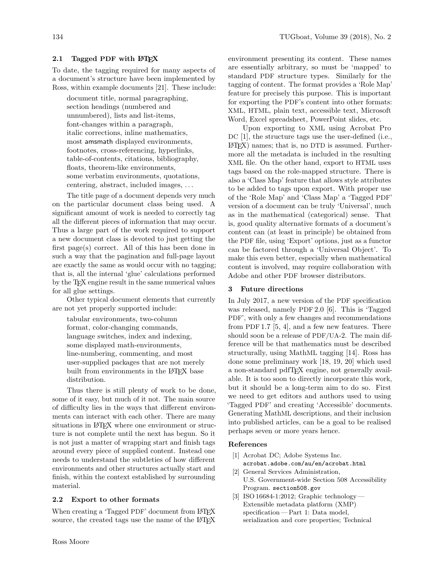# 2.1 Tagged PDF with L<sup>AT</sup>EX

To date, the tagging required for many aspects of a document's structure have been implemented by Ross, within example documents [\[21\]](#page-4-4). These include:

document title, normal paragraphing, section headings (numbered and unnumbered), lists and list-items, font-changes within a paragraph, italic corrections, inline mathematics, most amsmath displayed environments, footnotes, cross-referencing, hyperlinks, table-of-contents, citations, bibliography, floats, theorem-like environments, some verbatim environments, quotations, centering, abstract, included images, . . .

The title page of a document depends very much on the particular document class being used. A significant amount of work is needed to correctly tag all the different pieces of information that may occur. Thus a large part of the work required to support a new document class is devoted to just getting the first page(s) correct. All of this has been done in such a way that the pagination and full-page layout are exactly the same as would occur with no tagging; that is, all the internal 'glue' calculations performed by the TEX engine result in the same numerical values for all glue settings.

Other typical document elements that currently are not yet properly supported include:

tabular environments, two-column format, color-changing commands, language switches, index and indexing, some displayed math-environments, line-numbering, commenting, and most user-supplied packages that are not merely built from environments in the LATEX base distribution.

Thus there is still plenty of work to be done, some of it easy, but much of it not. The main source of difficulty lies in the ways that different environments can interact with each other. There are many situations in LAT<sub>EX</sub> where one environment or structure is not complete until the next has begun. So it is not just a matter of wrapping start and finish tags around every piece of supplied content. Instead one needs to understand the subtleties of how different environments and other structures actually start and finish, within the context established by surrounding material.

#### 2.2 Export to other formats

When creating a 'Tagged PDF' document from LAT<sub>EX</sub> source, the created tags use the name of the LATEX

environment presenting its content. These names are essentially arbitrary, so must be 'mapped' to standard PDF structure types. Similarly for the tagging of content. The format provides a 'Role Map' feature for precisely this purpose. This is important for exporting the PDF's content into other formats: XML, HTML, plain text, accessible text, Microsoft Word, Excel spreadsheet, PowerPoint slides, etc.

Upon exporting to XML using Acrobat Pro DC [\[1\]](#page-3-2), the structure tags use the user-defined (i.e.,  $\langle \text{HTr } X \rangle$  names; that is, no DTD is assumed. Furthermore all the metadata is included in the resulting XML file. On the other hand, export to HTML uses tags based on the role-mapped structure. There is also a 'Class Map' feature that allows style attributes to be added to tags upon export. With proper use of the 'Role Map' and 'Class Map' a 'Tagged PDF' version of a document can be truly 'Universal', much as in the mathematical (categorical) sense. That is, good quality alternative formats of a document's content can (at least in principle) be obtained from the PDF file, using 'Export' options, just as a functor can be factored through a 'Universal Object'. To make this even better, especially when mathematical content is involved, may require collaboration with Adobe and other PDF browser distributors.

#### 3 Future directions

In July 2017, a new version of the PDF specification was released, namely PDF 2.0 [\[6\]](#page-4-14). This is 'Tagged PDF', with only a few changes and recommendations from PDF 1.7 [\[5,](#page-4-15) [4\]](#page-4-3), and a few new features. There should soon be a release of PDF/UA-2. The main difference will be that mathematics must be described structurally, using MathML tagging [\[14\]](#page-4-16). Ross has done some preliminary work [\[18,](#page-4-11) [19,](#page-4-12) [20\]](#page-4-13) which used a non-standard pdfTEX engine, not generally available. It is too soon to directly incorporate this work, but it should be a long-term aim to do so. First we need to get editors and authors used to using 'Tagged PDF' and creating 'Accessible' documents. Generating MathML descriptions, and their inclusion into published articles, can be a goal to be realised perhaps seven or more years hence.

#### References

- <span id="page-3-2"></span>[1] Acrobat DC; Adobe Systems Inc. [acrobat.adobe.com/au/en/acrobat.html](https://acrobat.adobe.com/au/en/acrobat.html)
- <span id="page-3-0"></span>[2] General Services Administration, U.S. Government-wide Section 508 Accessibility Program. [section508.gov](https://section508.gov)
- <span id="page-3-1"></span>[3] ISO 16684-1:2012; Graphic technology— Extensible metadata platform (XMP) specification— Part 1: Data model, serialization and core properties; Technical